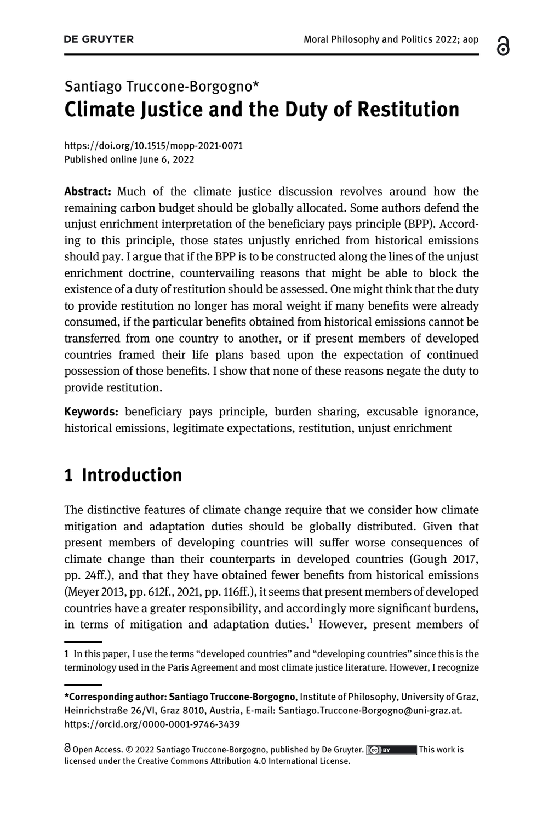#### ്റ

# Santiago Truccone-Borgogno\* Climate Justice and the Duty of Restitution

<https://doi.org/10.1515/mopp-2021-0071> Published online June 6, 2022

Abstract: Much of the climate justice discussion revolves around how the remaining carbon budget should be globally allocated. Some authors defend the unjust enrichment interpretation of the beneficiary pays principle (BPP). According to this principle, those states unjustly enriched from historical emissions should pay. I argue that if the BPP is to be constructed along the lines of the unjust enrichment doctrine, countervailing reasons that might be able to block the existence of a duty of restitution should be assessed. One might think that the duty to provide restitution no longer has moral weight if many benefits were already consumed, if the particular benefits obtained from historical emissions cannot be transferred from one country to another, or if present members of developed countries framed their life plans based upon the expectation of continued possession of those benefits. I show that none of these reasons negate the duty to provide restitution.

Keywords: beneficiary pays principle, burden sharing, excusable ignorance, historical emissions, legitimate expectations, restitution, unjust enrichment

## 1 Introduction

The distinctive features of climate change require that we consider how climate mitigation and adaptation duties should be globally distributed. Given that present members of developing countries will suffer worse consequences of climate change than their counterparts in developed countries ([Gough 2017](#page-20-0), pp. 24ff.), and that they have obtained fewer benefits from historical emissions [\(Meyer 2013](#page-21-0), pp. 612f., [2021,](#page-21-1) pp. 116ff.), it seems that present members of developed countries have a greater responsibility, and accordingly more significant burdens, in terms of mitigation and adaptation duties.<sup>1</sup> However, present members of

<sup>1</sup> In this paper, I use the terms "developed countries" and "developing countries" since this is the terminology used in the Paris Agreement and most climate justice literature. However, I recognize

<sup>\*</sup>Corresponding author: Santiago Truccone-Borgogno, Institute of Philosophy, University of Graz, Heinrichstraße 26/VI, Graz 8010, Austria, E-mail: [Santiago.Truccone-Borgogno@uni-graz.at.](mailto:Santiago.Truccone-Borgogno@uni-graz.at) <https://orcid.org/0000-0001-9746-3439>

Open Access. © 2022 Santiago Truccone-Borgogno, published by De Gruyter.  $\overline{C}$  BY This work is licensed under the Creative Commons Attribution 4.0 International License.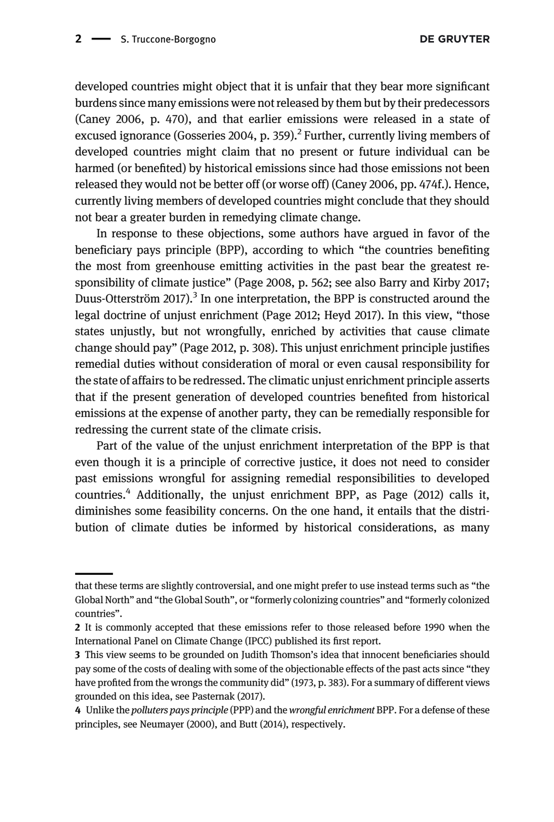developed countries might object that it is unfair that they bear more significant burdens since many emissions were not released by them but by their predecessors ([Caney 2006,](#page-20-1) p. 470), and that earlier emissions were released in a state of excused ignorance ([Gosseries 2004](#page-20-2), p. 359).<sup>2</sup> Further, currently living members of developed countries might claim that no present or future individual can be harmed (or benefited) by historical emissions since had those emissions not been released they would not be better off (or worse off) ([Caney 2006,](#page-20-1) pp. 474f.). Hence, currently living members of developed countries might conclude that they should not bear a greater burden in remedying climate change.

In response to these objections, some authors have argued in favor of the beneficiary pays principle (BPP), according to which "the countries benefiting the most from greenhouse emitting activities in the past bear the greatest responsibility of climate justice" ([Page 2008](#page-21-2), p. 562; see also [Barry and Kirby 2017;](#page-20-3) [Duus-Otterström 2017](#page-20-4)).<sup>3</sup> In one interpretation, the BPP is constructed around the legal doctrine of unjust enrichment [\(Page 2012](#page-21-3); [Heyd 2017](#page-20-5)). In this view, "those states unjustly, but not wrongfully, enriched by activities that cause climate change should pay" ([Page 2012](#page-21-3), p. 308). This unjust enrichment principle justifies remedial duties without consideration of moral or even causal responsibility for the state of affairs to be redressed. The climatic unjust enrichment principle asserts that if the present generation of developed countries benefited from historical emissions at the expense of another party, they can be remedially responsible for redressing the current state of the climate crisis.

Part of the value of the unjust enrichment interpretation of the BPP is that even though it is a principle of corrective justice, it does not need to consider past emissions wrongful for assigning remedial responsibilities to developed countries.<sup>4</sup> Additionally, the unjust enrichment BPP, as [Page \(2012\)](#page-21-3) calls it, diminishes some feasibility concerns. On the one hand, it entails that the distribution of climate duties be informed by historical considerations, as many

that these terms are slightly controversial, and one might prefer to use instead terms such as "the Global North" and "the Global South", or "formerly colonizing countries" and "formerly colonized countries".

<sup>2</sup> It is commonly accepted that these emissions refer to those released before 1990 when the International Panel on Climate Change (IPCC) published its first report.

<sup>3</sup> This view seems to be grounded on Judith Thomson's idea that innocent beneficiaries should pay some of the costs of dealing with some of the objectionable effects of the past acts since "they have profited from the wrongs the community did" ([1973](#page-21-4), p. 383). For a summary of different views grounded on this idea, see [Pasternak \(2017\)](#page-21-5).

<sup>4</sup> Unlike the polluters pays principle (PPP) and the wrongful enrichment BPP. For a defense of these principles, see [Neumayer \(2000\)](#page-21-6), and [Butt \(2014\),](#page-20-6) respectively.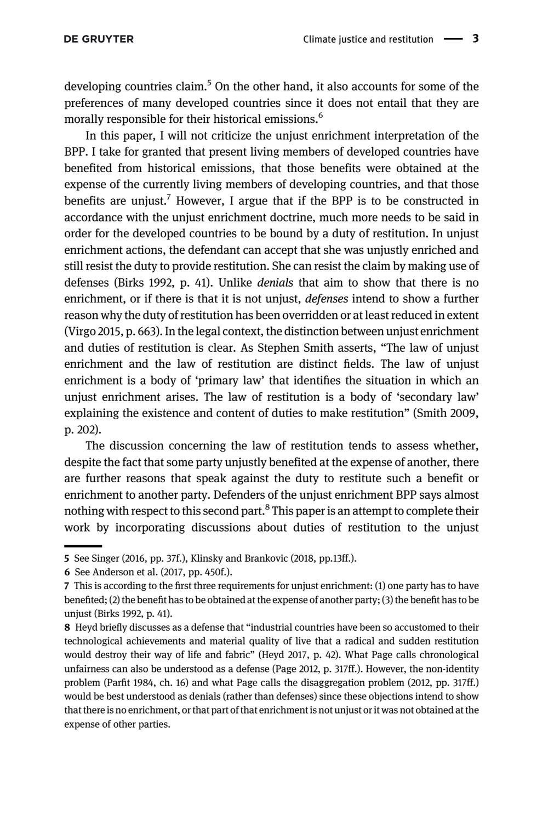developing countries claim.<sup>5</sup> On the other hand, it also accounts for some of the preferences of many developed countries since it does not entail that they are morally responsible for their historical emissions.<sup>6</sup>

In this paper, I will not criticize the unjust enrichment interpretation of the BPP. I take for granted that present living members of developed countries have benefited from historical emissions, that those benefits were obtained at the expense of the currently living members of developing countries, and that those benefits are unjust.<sup>7</sup> However, I argue that if the BPP is to be constructed in accordance with the unjust enrichment doctrine, much more needs to be said in order for the developed countries to be bound by a duty of restitution. In unjust enrichment actions, the defendant can accept that she was unjustly enriched and still resist the duty to provide restitution. She can resist the claim by making use of defenses [\(Birks 1992](#page-20-7), p. 41). Unlike denials that aim to show that there is no enrichment, or if there is that it is not unjust, *defenses* intend to show a further reason why the duty of restitution has been overridden or at least reduced in extent [\(Virgo 2015,](#page-21-7) p. 663). In the legal context, the distinction between unjust enrichment and duties of restitution is clear. As Stephen Smith asserts, "The law of unjust enrichment and the law of restitution are distinct fields. The law of unjust enrichment is a body of 'primary law' that identifies the situation in which an unjust enrichment arises. The law of restitution is a body of 'secondary law' explaining the existence and content of duties to make restitution" ([Smith 2009](#page-21-8), p. 202).

The discussion concerning the law of restitution tends to assess whether, despite the fact that some party unjustly benefited at the expense of another, there are further reasons that speak against the duty to restitute such a benefit or enrichment to another party. Defenders of the unjust enrichment BPP says almost nothing with respect to this second part.<sup>8</sup> This paper is an attempt to complete their work by incorporating discussions about duties of restitution to the unjust

<sup>5</sup> See [Singer \(2016,](#page-21-9) pp. 37f.), [Klinsky and Brankovic \(2018,](#page-20-8) pp.13ff.).

<sup>6</sup> See [Anderson et al. \(2017](#page-20-9), pp. 450f.).

<sup>7</sup> This is according to the first three requirements for unjust enrichment: (1) one party has to have benefited; (2) the benefit has to be obtained at the expense of another party; (3) the benefit has to be unjust [\(Birks 1992,](#page-20-7) p. 41).

<sup>8</sup> Heyd briefly discusses as a defense that "industrial countries have been so accustomed to their technological achievements and material quality of live that a radical and sudden restitution would destroy their way of life and fabric" ([Heyd 2017](#page-20-5), p. 42). What Page calls chronological unfairness can also be understood as a defense [\(Page 2012,](#page-21-3) p. 317ff.). However, the non-identity problem (Parfi[t 1984,](#page-21-10) ch. 16) and what Page calls the disaggregation problem ([2012,](#page-21-3) pp. 317ff.) would be best understood as denials (rather than defenses) since these objections intend to show that there is no enrichment, or that part of that enrichment is not unjust or it was not obtained at the expense of other parties.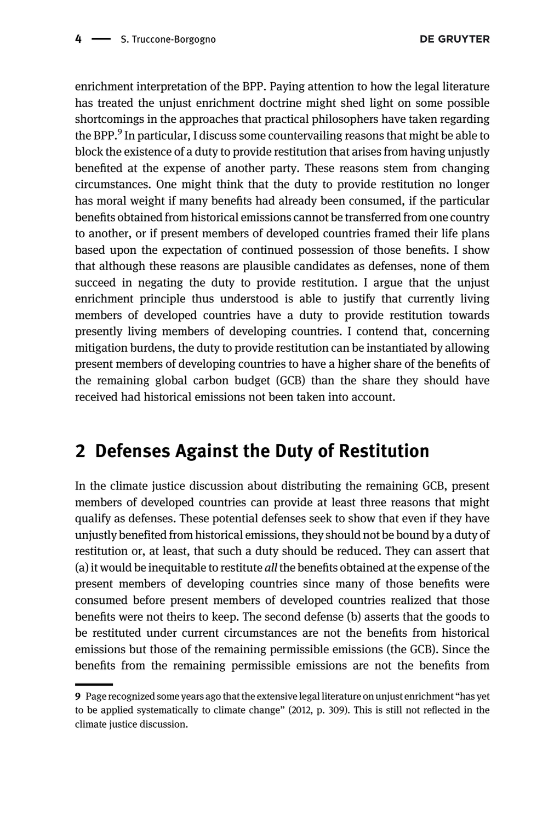enrichment interpretation of the BPP. Paying attention to how the legal literature has treated the unjust enrichment doctrine might shed light on some possible shortcomings in the approaches that practical philosophers have taken regarding the BPP.<sup>9</sup> In particular, I discuss some countervailing reasons that might be able to block the existence of a duty to provide restitution that arises from having unjustly benefited at the expense of another party. These reasons stem from changing circumstances. One might think that the duty to provide restitution no longer has moral weight if many benefits had already been consumed, if the particular benefits obtained from historical emissions cannot be transferred from one country to another, or if present members of developed countries framed their life plans based upon the expectation of continued possession of those benefits. I show that although these reasons are plausible candidates as defenses, none of them succeed in negating the duty to provide restitution. I argue that the unjust enrichment principle thus understood is able to justify that currently living members of developed countries have a duty to provide restitution towards presently living members of developing countries. I contend that, concerning mitigation burdens, the duty to provide restitution can be instantiated by allowing present members of developing countries to have a higher share of the benefits of the remaining global carbon budget (GCB) than the share they should have received had historical emissions not been taken into account.

## 2 Defenses Against the Duty of Restitution

In the climate justice discussion about distributing the remaining GCB, present members of developed countries can provide at least three reasons that might qualify as defenses. These potential defenses seek to show that even if they have unjustly benefited from historical emissions, they should not be bound by a duty of restitution or, at least, that such a duty should be reduced. They can assert that (a) it would be inequitable to restitute all the benefits obtained at the expense of the present members of developing countries since many of those benefits were consumed before present members of developed countries realized that those benefits were not theirs to keep. The second defense (b) asserts that the goods to be restituted under current circumstances are not the benefits from historical emissions but those of the remaining permissible emissions (the GCB). Since the benefits from the remaining permissible emissions are not the benefits from

<sup>9</sup> Page recognized some years ago that the extensive legal literature on unjust enrichment "has yet to be applied systematically to climate change" [\(2012](#page-21-3), p. 309). This is still not reflected in the climate justice discussion.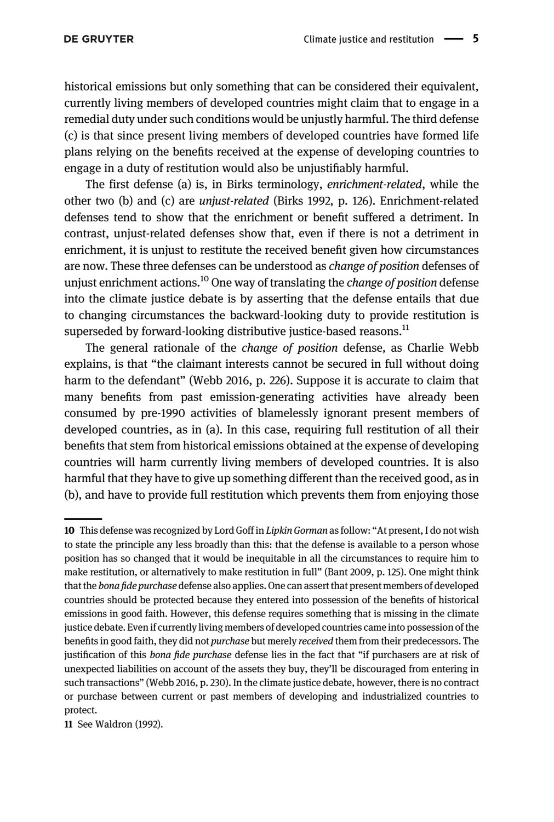historical emissions but only something that can be considered their equivalent, currently living members of developed countries might claim that to engage in a remedial duty under such conditions would be unjustly harmful. The third defense (c) is that since present living members of developed countries have formed life plans relying on the benefits received at the expense of developing countries to engage in a duty of restitution would also be unjustifiably harmful.

The first defense (a) is, in Birks terminology, enrichment-related, while the other two (b) and (c) are unjust-related ([Birks 1992,](#page-20-7) p. 126). Enrichment-related defenses tend to show that the enrichment or benefit suffered a detriment. In contrast, unjust-related defenses show that, even if there is not a detriment in enrichment, it is unjust to restitute the received benefit given how circumstances are now. These three defenses can be understood as *change of position* defenses of unjust enrichment actions.<sup>10</sup> One way of translating the *change of position* defense into the climate justice debate is by asserting that the defense entails that due to changing circumstances the backward-looking duty to provide restitution is superseded by forward-looking distributive justice-based reasons.<sup>11</sup>

The general rationale of the change of position defense, as Charlie Webb explains, is that "the claimant interests cannot be secured in full without doing harm to the defendant" [\(Webb 2016,](#page-21-11) p. 226). Suppose it is accurate to claim that many benefits from past emission-generating activities have already been consumed by pre-1990 activities of blamelessly ignorant present members of developed countries, as in (a). In this case, requiring full restitution of all their benefits that stem from historical emissions obtained at the expense of developing countries will harm currently living members of developed countries. It is also harmful that they have to give up something different than the received good, as in (b), and have to provide full restitution which prevents them from enjoying those

11 See [Waldron \(1992\)](#page-21-12).

<sup>10</sup> This defense was recognized by Lord Goff in Lipkin Gorman as follow: "At present, I do not wish to state the principle any less broadly than this: that the defense is available to a person whose position has so changed that it would be inequitable in all the circumstances to require him to make restitution, or alternatively to make restitution in full" ([Bant 2009](#page-20-10), p. 125). One might think that the bona fide purchase defense also applies. One can assert that present members of developed countries should be protected because they entered into possession of the benefits of historical emissions in good faith. However, this defense requires something that is missing in the climate justice debate. Even if currently living members of developed countries came into possession of the benefits in good faith, they did not purchase but merely received them from their predecessors. The justification of this bona fide purchase defense lies in the fact that "if purchasers are at risk of unexpected liabilities on account of the assets they buy, they'll be discouraged from entering in such transactions" [\(Webb 2016,](#page-21-11) p. 230). In the climate justice debate, however, there is no contract or purchase between current or past members of developing and industrialized countries to protect.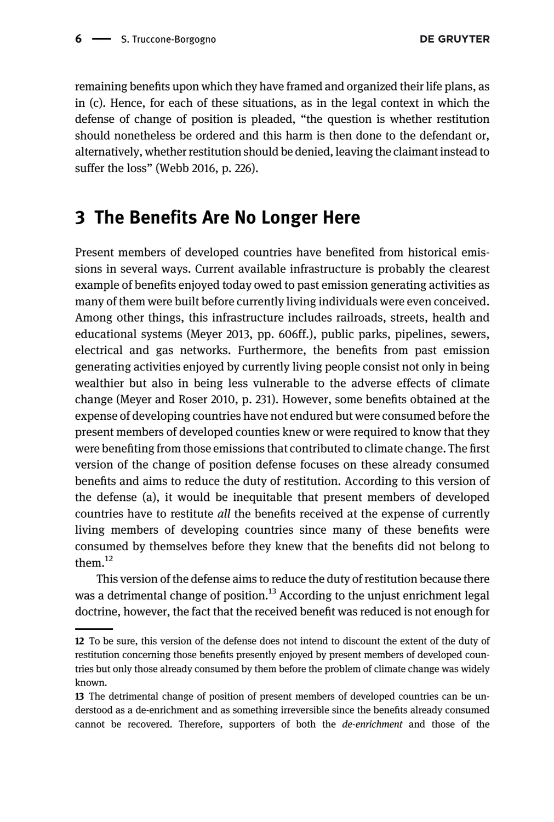remaining benefits upon which they have framed and organized their life plans, as in (c). Hence, for each of these situations, as in the legal context in which the defense of change of position is pleaded, "the question is whether restitution should nonetheless be ordered and this harm is then done to the defendant or, alternatively, whether restitution should be denied, leaving the claimant instead to suffer the loss" [\(Webb 2016,](#page-21-11) p. 226).

### 3 The Benefits Are No Longer Here

Present members of developed countries have benefited from historical emissions in several ways. Current available infrastructure is probably the clearest example of benefits enjoyed today owed to past emission generating activities as many of them were built before currently living individuals were even conceived. Among other things, this infrastructure includes railroads, streets, health and educational systems [\(Meyer 2013,](#page-21-0) pp. 606ff.), public parks, pipelines, sewers, electrical and gas networks. Furthermore, the benefits from past emission generating activities enjoyed by currently living people consist not only in being wealthier but also in being less vulnerable to the adverse effects of climate change [\(Meyer and Roser 2010](#page-21-13), p. 231). However, some benefits obtained at the expense of developing countries have not endured but were consumed before the present members of developed counties knew or were required to know that they were benefiting from those emissions that contributed to climate change. The first version of the change of position defense focuses on these already consumed benefits and aims to reduce the duty of restitution. According to this version of the defense (a), it would be inequitable that present members of developed countries have to restitute all the benefits received at the expense of currently living members of developing countries since many of these benefits were consumed by themselves before they knew that the benefits did not belong to them.<sup>12</sup>

This version of the defense aims to reduce the duty of restitution because there was a detrimental change of position.<sup>13</sup> According to the unjust enrichment legal doctrine, however, the fact that the received benefit was reduced is not enough for

<sup>12</sup> To be sure, this version of the defense does not intend to discount the extent of the duty of restitution concerning those benefits presently enjoyed by present members of developed countries but only those already consumed by them before the problem of climate change was widely known.

<sup>13</sup> The detrimental change of position of present members of developed countries can be understood as a de-enrichment and as something irreversible since the benefits already consumed cannot be recovered. Therefore, supporters of both the de-enrichment and those of the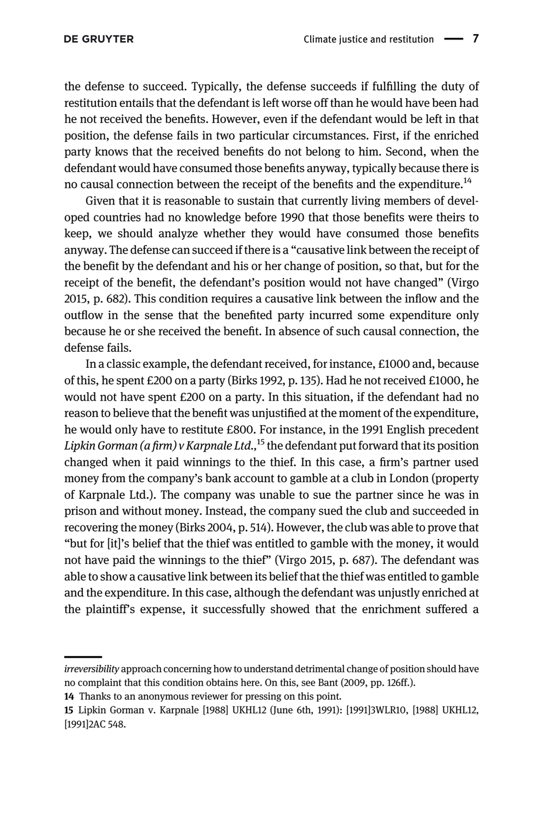the defense to succeed. Typically, the defense succeeds if fulfilling the duty of restitution entails that the defendant is left worse off than he would have been had he not received the benefits. However, even if the defendant would be left in that position, the defense fails in two particular circumstances. First, if the enriched party knows that the received benefits do not belong to him. Second, when the defendant would have consumed those benefits anyway, typically because there is no causal connection between the receipt of the benefits and the expenditure.<sup>14</sup>

Given that it is reasonable to sustain that currently living members of developed countries had no knowledge before 1990 that those benefits were theirs to keep, we should analyze whether they would have consumed those benefits anyway. The defense can succeed if there is a "causative link between the receipt of the benefit by the defendant and his or her change of position, so that, but for the receipt of the benefit, the defendant's position would not have changed" ([Virgo](#page-21-7) [2015,](#page-21-7) p. 682). This condition requires a causative link between the inflow and the outflow in the sense that the benefited party incurred some expenditure only because he or she received the benefit. In absence of such causal connection, the defense fails.

In a classic example, the defendant received, for instance, £1000 and, because of this, he spent £200 on a party ([Birks 1992,](#page-20-7) p. 135). Had he not received £1000, he would not have spent £200 on a party. In this situation, if the defendant had no reason to believe that the benefit was unjustified at the moment of the expenditure, he would only have to restitute £800. For instance, in the 1991 English precedent Lipkin Gorman (a firm) v Karpnale Ltd.,  $^{15}$  the defendant put forward that its position changed when it paid winnings to the thief. In this case, a firm's partner used money from the company's bank account to gamble at a club in London (property of Karpnale Ltd.). The company was unable to sue the partner since he was in prison and without money. Instead, the company sued the club and succeeded in recovering the money [\(Birks 2004,](#page-20-11) p. 514). However, the club was able to prove that "but for [it]'s belief that the thief was entitled to gamble with the money, it would not have paid the winnings to the thief" ([Virgo 2015,](#page-21-7) p. 687). The defendant was able to show a causative link between its belief that the thief was entitled to gamble and the expenditure. In this case, although the defendant was unjustly enriched at the plaintiff's expense, it successfully showed that the enrichment suffered a

irreversibility approach concerning how to understand detrimental change of position should have no complaint that this condition obtains here. On this, see [Bant \(2009](#page-20-10), pp. 126ff.).

<sup>14</sup> Thanks to an anonymous reviewer for pressing on this point.

<sup>15</sup> Lipkin Gorman v. Karpnale [1988] UKHL12 (June 6th, 1991): [1991]3WLR10, [1988] UKHL12, [1991]2AC 548.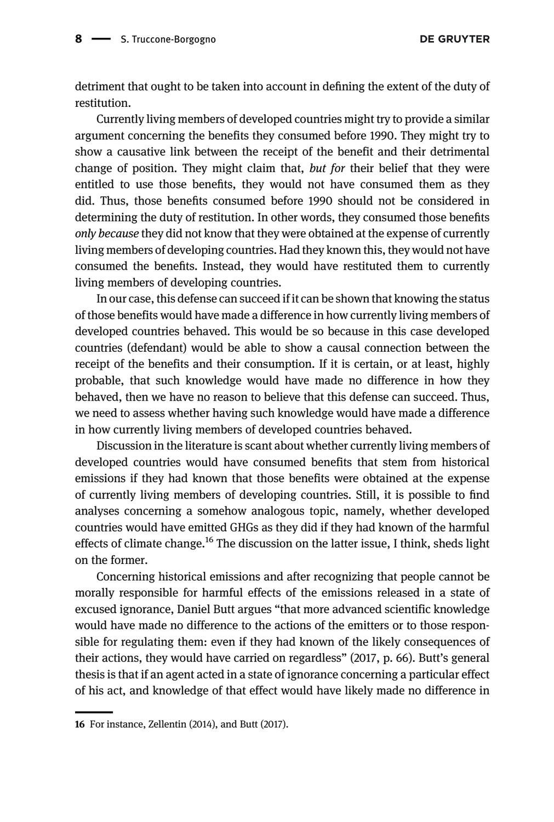detriment that ought to be taken into account in defining the extent of the duty of restitution.

Currently living members of developed countries might try to provide a similar argument concerning the benefits they consumed before 1990. They might try to show a causative link between the receipt of the benefit and their detrimental change of position. They might claim that, but for their belief that they were entitled to use those benefits, they would not have consumed them as they did. Thus, those benefits consumed before 1990 should not be considered in determining the duty of restitution. In other words, they consumed those benefits only because they did not know that they were obtained at the expense of currently living members of developing countries. Had they known this, they would not have consumed the benefits. Instead, they would have restituted them to currently living members of developing countries.

In our case, this defense can succeed if it can be shown that knowing the status of those benefits would have made a difference in how currently living members of developed countries behaved. This would be so because in this case developed countries (defendant) would be able to show a causal connection between the receipt of the benefits and their consumption. If it is certain, or at least, highly probable, that such knowledge would have made no difference in how they behaved, then we have no reason to believe that this defense can succeed. Thus, we need to assess whether having such knowledge would have made a difference in how currently living members of developed countries behaved.

Discussion in the literature is scant about whether currently living members of developed countries would have consumed benefits that stem from historical emissions if they had known that those benefits were obtained at the expense of currently living members of developing countries. Still, it is possible to find analyses concerning a somehow analogous topic, namely, whether developed countries would have emitted GHGs as they did if they had known of the harmful effects of climate change.<sup>16</sup> The discussion on the latter issue, I think, sheds light on the former.

Concerning historical emissions and after recognizing that people cannot be morally responsible for harmful effects of the emissions released in a state of excused ignorance, Daniel Butt argues "that more advanced scientific knowledge would have made no difference to the actions of the emitters or to those responsible for regulating them: even if they had known of the likely consequences of their actions, they would have carried on regardless" ([2017,](#page-20-12) p. 66). Butt's general thesis is that if an agent acted in a state of ignorance concerning a particular effect of his act, and knowledge of that effect would have likely made no difference in

<sup>16</sup> For instance, [Zellentin \(2014\),](#page-21-14) and [Butt \(2017\).](#page-20-12)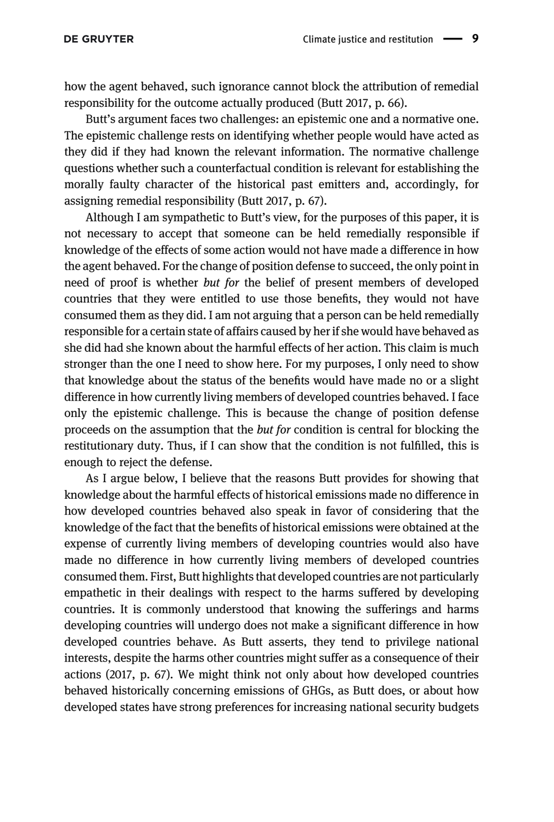how the agent behaved, such ignorance cannot block the attribution of remedial responsibility for the outcome actually produced ([Butt 2017](#page-20-12), p. 66).

Butt's argument faces two challenges: an epistemic one and a normative one. The epistemic challenge rests on identifying whether people would have acted as they did if they had known the relevant information. The normative challenge questions whether such a counterfactual condition is relevant for establishing the morally faulty character of the historical past emitters and, accordingly, for assigning remedial responsibility ([Butt 2017,](#page-20-12) p. 67).

Although I am sympathetic to Butt's view, for the purposes of this paper, it is not necessary to accept that someone can be held remedially responsible if knowledge of the effects of some action would not have made a difference in how the agent behaved. For the change of position defense to succeed, the only point in need of proof is whether but for the belief of present members of developed countries that they were entitled to use those benefits, they would not have consumed them as they did. I am not arguing that a person can be held remedially responsible for a certain state of affairs caused by her if she would have behaved as she did had she known about the harmful effects of her action. This claim is much stronger than the one I need to show here. For my purposes, I only need to show that knowledge about the status of the benefits would have made no or a slight difference in how currently living members of developed countries behaved. I face only the epistemic challenge. This is because the change of position defense proceeds on the assumption that the but for condition is central for blocking the restitutionary duty. Thus, if I can show that the condition is not fulfilled, this is enough to reject the defense.

As I argue below, I believe that the reasons Butt provides for showing that knowledge about the harmful effects of historical emissions made no difference in how developed countries behaved also speak in favor of considering that the knowledge of the fact that the benefits of historical emissions were obtained at the expense of currently living members of developing countries would also have made no difference in how currently living members of developed countries consumed them. First, Butt highlights that developed countries are not particularly empathetic in their dealings with respect to the harms suffered by developing countries. It is commonly understood that knowing the sufferings and harms developing countries will undergo does not make a significant difference in how developed countries behave. As Butt asserts, they tend to privilege national interests, despite the harms other countries might suffer as a consequence of their actions ([2017,](#page-20-12) p. 67). We might think not only about how developed countries behaved historically concerning emissions of GHGs, as Butt does, or about how developed states have strong preferences for increasing national security budgets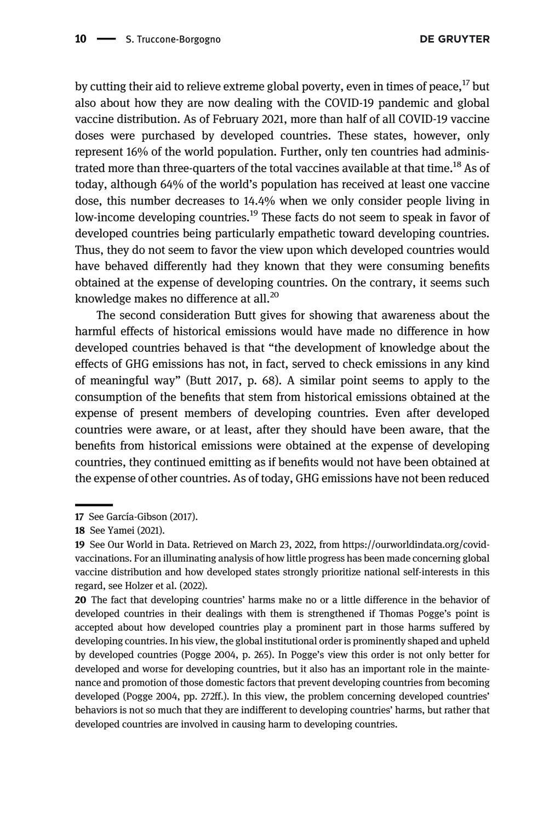by cutting their aid to relieve extreme global poverty, even in times of peace,  $^{17}$  but also about how they are now dealing with the COVID-19 pandemic and global vaccine distribution. As of February 2021, more than half of all COVID-19 vaccine doses were purchased by developed countries. These states, however, only represent 16% of the world population. Further, only ten countries had administrated more than three-quarters of the total vaccines available at that time.<sup>18</sup> As of today, although 64% of the world's population has received at least one vaccine dose, this number decreases to 14.4% when we only consider people living in low-income developing countries.<sup>19</sup> These facts do not seem to speak in favor of developed countries being particularly empathetic toward developing countries. Thus, they do not seem to favor the view upon which developed countries would have behaved differently had they known that they were consuming benefits obtained at the expense of developing countries. On the contrary, it seems such knowledge makes no difference at all.<sup>20</sup>

The second consideration Butt gives for showing that awareness about the harmful effects of historical emissions would have made no difference in how developed countries behaved is that "the development of knowledge about the effects of GHG emissions has not, in fact, served to check emissions in any kind of meaningful way" [\(Butt 2017](#page-20-12), p. 68). A similar point seems to apply to the consumption of the benefits that stem from historical emissions obtained at the expense of present members of developing countries. Even after developed countries were aware, or at least, after they should have been aware, that the benefits from historical emissions were obtained at the expense of developing countries, they continued emitting as if benefits would not have been obtained at the expense of other countries. As of today, GHG emissions have not been reduced

<sup>17</sup> See [García-Gibson \(2017\).](#page-20-13)

<sup>18</sup> See [Yamei \(2021\).](#page-21-15)

<sup>19</sup> See Our World in Data. Retrieved on March 23, 2022, from [https://ourworldindata.org/covid](https://ourworldindata.org/covid-vaccinations)[vaccinations.](https://ourworldindata.org/covid-vaccinations) For an illuminating analysis of how little progress has been made concerning global vaccine distribution and how developed states strongly prioritize national self-interests in this regard, see [Holzer et al. \(2022\).](#page-20-14)

<sup>20</sup> The fact that developing countries' harms make no or a little difference in the behavior of developed countries in their dealings with them is strengthened if Thomas Pogge's point is accepted about how developed countries play a prominent part in those harms suffered by developing countries. In his view, the global institutional order is prominently shaped and upheld by developed countries [\(Pogge 2004,](#page-21-16) p. 265). In Pogge's view this order is not only better for developed and worse for developing countries, but it also has an important role in the maintenance and promotion of those domestic factors that prevent developing countries from becoming developed [\(Pogge 2004,](#page-21-16) pp. 272ff.). In this view, the problem concerning developed countries' behaviors is not so much that they are indifferent to developing countries' harms, but rather that developed countries are involved in causing harm to developing countries.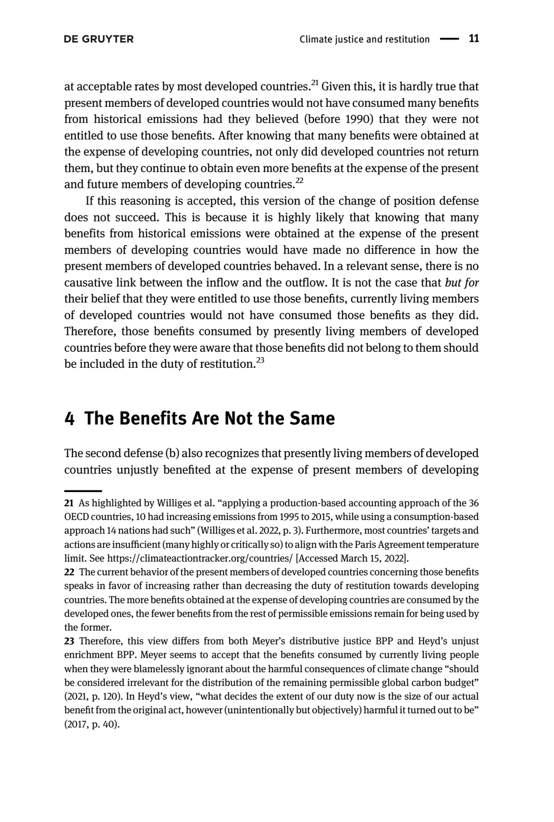at acceptable rates by most developed countries.<sup>21</sup> Given this, it is hardly true that present members of developed countries would not have consumed many benefits from historical emissions had they believed (before 1990) that they were not entitled to use those benefits. After knowing that many benefits were obtained at the expense of developing countries, not only did developed countries not return them, but they continue to obtain even more benefits at the expense of the present and future members of developing countries.<sup>22</sup>

If this reasoning is accepted, this version of the change of position defense does not succeed. This is because it is highly likely that knowing that many benefits from historical emissions were obtained at the expense of the present members of developing countries would have made no difference in how the present members of developed countries behaved. In a relevant sense, there is no causative link between the inflow and the outflow. It is not the case that but for their belief that they were entitled to use those benefits, currently living members of developed countries would not have consumed those benefits as they did. Therefore, those benefits consumed by presently living members of developed countries before they were aware that those benefits did not belong to them should be included in the duty of restitution.<sup>23</sup>

#### 4 The Benefits Are Not the Same

The second defense (b) also recognizes that presently living members of developed countries unjustly benefited at the expense of present members of developing

<sup>21</sup> As highlighted by Williges et al. "applying a production-based accounting approach of the 36 OECD countries, 10 had increasing emissions from 1995 to 2015, while using a consumption-based approach 14 nations had such" ([Williges et al. 2022,](#page-21-17) p. 3). Furthermore, most countries' targets and actions are insufficient (many highly or critically so) to align with the Paris Agreement temperature limit. See<https://climateactiontracker.org/countries/> [Accessed March 15, 2022].

<sup>22</sup> The current behavior of the present members of developed countries concerning those benefits speaks in favor of increasing rather than decreasing the duty of restitution towards developing countries. The more benefits obtained at the expense of developing countries are consumed by the developed ones, the fewer benefits from the rest of permissible emissions remain for being used by the former.

<sup>23</sup> Therefore, this view differs from both Meyer's distributive justice BPP and Heyd's unjust enrichment BPP. Meyer seems to accept that the benefits consumed by currently living people when they were blamelessly ignorant about the harmful consequences of climate change "should be considered irrelevant for the distribution of the remaining permissible global carbon budget" ([2021](#page-21-1), p. 120). In Heyd's view, "what decides the extent of our duty now is the size of our actual benefit from the original act, however (unintentionally but objectively) harmful it turned out to be" (2017, p. 40).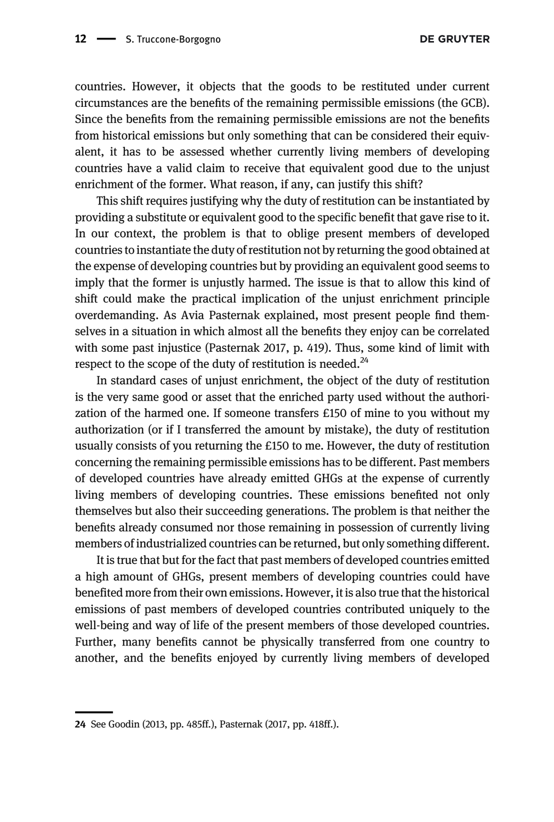countries. However, it objects that the goods to be restituted under current circumstances are the benefits of the remaining permissible emissions (the GCB). Since the benefits from the remaining permissible emissions are not the benefits from historical emissions but only something that can be considered their equivalent, it has to be assessed whether currently living members of developing countries have a valid claim to receive that equivalent good due to the unjust enrichment of the former. What reason, if any, can justify this shift?

This shift requires justifying why the duty of restitution can be instantiated by providing a substitute or equivalent good to the specific benefit that gave rise to it. In our context, the problem is that to oblige present members of developed countries to instantiate the duty of restitution not by returning the good obtained at the expense of developing countries but by providing an equivalent good seems to imply that the former is unjustly harmed. The issue is that to allow this kind of shift could make the practical implication of the unjust enrichment principle overdemanding. As Avia Pasternak explained, most present people find themselves in a situation in which almost all the benefits they enjoy can be correlated with some past injustice ([Pasternak 2017,](#page-21-5) p. 419). Thus, some kind of limit with respect to the scope of the duty of restitution is needed. $^{24}$ 

In standard cases of unjust enrichment, the object of the duty of restitution is the very same good or asset that the enriched party used without the authorization of the harmed one. If someone transfers £150 of mine to you without my authorization (or if I transferred the amount by mistake), the duty of restitution usually consists of you returning the £150 to me. However, the duty of restitution concerning the remaining permissible emissions has to be different. Past members of developed countries have already emitted GHGs at the expense of currently living members of developing countries. These emissions benefited not only themselves but also their succeeding generations. The problem is that neither the benefits already consumed nor those remaining in possession of currently living members of industrialized countries can be returned, but only something different.

It is true that but for the fact that past members of developed countries emitted a high amount of GHGs, present members of developing countries could have benefited more from their own emissions. However, it is also true that the historical emissions of past members of developed countries contributed uniquely to the well-being and way of life of the present members of those developed countries. Further, many benefits cannot be physically transferred from one country to another, and the benefits enjoyed by currently living members of developed

<sup>24</sup> See [Goodin \(2013,](#page-20-15) pp. 485ff.), [Pasternak \(2017,](#page-21-5) pp. 418ff.).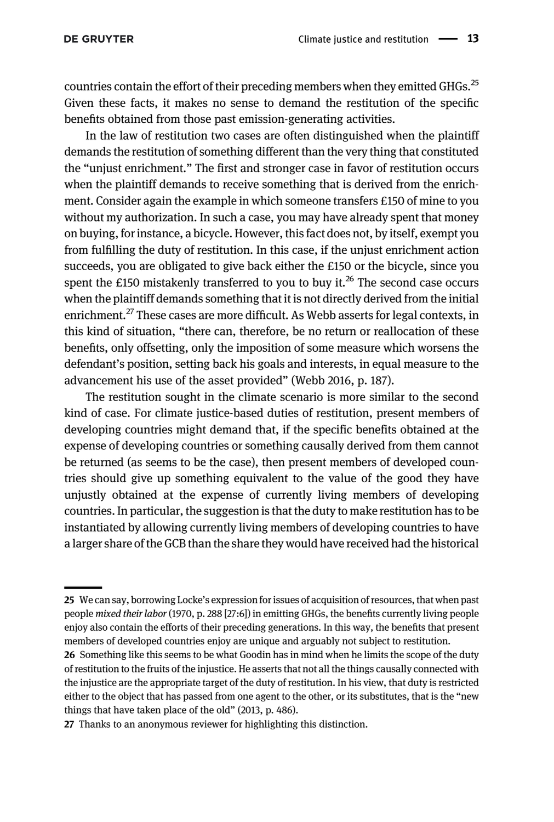countries contain the effort of their preceding members when they emitted GHGs.<sup>25</sup> Given these facts, it makes no sense to demand the restitution of the specific benefits obtained from those past emission-generating activities.

In the law of restitution two cases are often distinguished when the plaintiff demands the restitution of something different than the very thing that constituted the "unjust enrichment." The first and stronger case in favor of restitution occurs when the plaintiff demands to receive something that is derived from the enrichment. Consider again the example in which someone transfers £150 of mine to you without my authorization. In such a case, you may have already spent that money on buying, for instance, a bicycle. However, this fact does not, by itself, exempt you from fulfilling the duty of restitution. In this case, if the unjust enrichment action succeeds, you are obligated to give back either the £150 or the bicycle, since you spent the £150 mistakenly transferred to you to buy it.<sup>26</sup> The second case occurs when the plaintiff demands something that it is not directly derived from the initial enrichment.<sup>27</sup> These cases are more difficult. As Webb asserts for legal contexts, in this kind of situation, "there can, therefore, be no return or reallocation of these benefits, only offsetting, only the imposition of some measure which worsens the defendant's position, setting back his goals and interests, in equal measure to the advancement his use of the asset provided" [\(Webb 2016](#page-21-11), p. 187).

The restitution sought in the climate scenario is more similar to the second kind of case. For climate justice-based duties of restitution, present members of developing countries might demand that, if the specific benefits obtained at the expense of developing countries or something causally derived from them cannot be returned (as seems to be the case), then present members of developed countries should give up something equivalent to the value of the good they have unjustly obtained at the expense of currently living members of developing countries. In particular, the suggestion is that the duty to make restitution has to be instantiated by allowing currently living members of developing countries to have a larger share of the GCB than the share they would have received had the historical

<sup>25</sup> We can say, borrowing Locke's expression for issues of acquisition of resources, that when past people mixed their labor [\(1970](#page-20-16), p. 288 [27:6]) in emitting GHGs, the benefits currently living people enjoy also contain the efforts of their preceding generations. In this way, the benefits that present members of developed countries enjoy are unique and arguably not subject to restitution.

<sup>26</sup> Something like this seems to be what Goodin has in mind when he limits the scope of the duty of restitution to the fruits of the injustice. He asserts that not all the things causally connected with the injustice are the appropriate target of the duty of restitution. In his view, that duty is restricted either to the object that has passed from one agent to the other, or its substitutes, that is the "new things that have taken place of the old" [\(2013](#page-20-15), p. 486).

<sup>27</sup> Thanks to an anonymous reviewer for highlighting this distinction.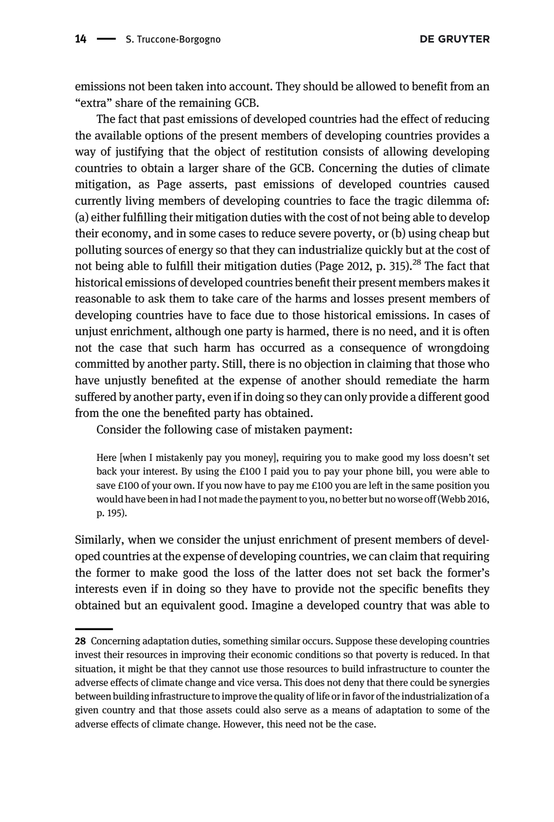emissions not been taken into account. They should be allowed to benefit from an "extra" share of the remaining GCB.

The fact that past emissions of developed countries had the effect of reducing the available options of the present members of developing countries provides a way of justifying that the object of restitution consists of allowing developing countries to obtain a larger share of the GCB. Concerning the duties of climate mitigation, as Page asserts, past emissions of developed countries caused currently living members of developing countries to face the tragic dilemma of: (a) either fulfilling their mitigation duties with the cost of not being able to develop their economy, and in some cases to reduce severe poverty, or (b) using cheap but polluting sources of energy so that they can industrialize quickly but at the cost of not being able to fulfill their mitigation duties ([Page 2012,](#page-21-3) p. 315).<sup>28</sup> The fact that historical emissions of developed countries benefit their present members makes it reasonable to ask them to take care of the harms and losses present members of developing countries have to face due to those historical emissions. In cases of unjust enrichment, although one party is harmed, there is no need, and it is often not the case that such harm has occurred as a consequence of wrongdoing committed by another party. Still, there is no objection in claiming that those who have unjustly benefited at the expense of another should remediate the harm suffered by another party, even if in doing so they can only provide a different good from the one the benefited party has obtained.

Consider the following case of mistaken payment:

Here [when I mistakenly pay you money], requiring you to make good my loss doesn't set back your interest. By using the £100 I paid you to pay your phone bill, you were able to save £100 of your own. If you now have to pay me £100 you are left in the same position you would have been in had I not made the payment to you, no better but no worse off ([Webb 2016](#page-21-11), p. 195).

Similarly, when we consider the unjust enrichment of present members of developed countries at the expense of developing countries, we can claim that requiring the former to make good the loss of the latter does not set back the former's interests even if in doing so they have to provide not the specific benefits they obtained but an equivalent good. Imagine a developed country that was able to

<sup>28</sup> Concerning adaptation duties, something similar occurs. Suppose these developing countries invest their resources in improving their economic conditions so that poverty is reduced. In that situation, it might be that they cannot use those resources to build infrastructure to counter the adverse effects of climate change and vice versa. This does not deny that there could be synergies between building infrastructure to improve the quality of life or in favor of the industrialization of a given country and that those assets could also serve as a means of adaptation to some of the adverse effects of climate change. However, this need not be the case.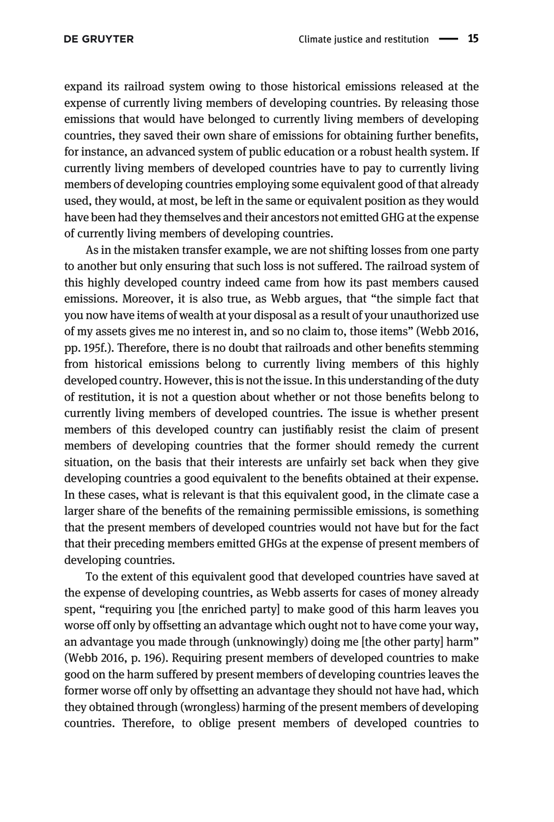expand its railroad system owing to those historical emissions released at the expense of currently living members of developing countries. By releasing those emissions that would have belonged to currently living members of developing countries, they saved their own share of emissions for obtaining further benefits, for instance, an advanced system of public education or a robust health system. If currently living members of developed countries have to pay to currently living members of developing countries employing some equivalent good of that already used, they would, at most, be left in the same or equivalent position as they would have been had they themselves and their ancestors not emitted GHG at the expense of currently living members of developing countries.

As in the mistaken transfer example, we are not shifting losses from one party to another but only ensuring that such loss is not suffered. The railroad system of this highly developed country indeed came from how its past members caused emissions. Moreover, it is also true, as Webb argues, that "the simple fact that you now have items of wealth at your disposal as a result of your unauthorized use of my assets gives me no interest in, and so no claim to, those items" [\(Webb 2016](#page-21-11), pp. 195f.). Therefore, there is no doubt that railroads and other benefits stemming from historical emissions belong to currently living members of this highly developed country. However, this is not the issue. In this understanding of the duty of restitution, it is not a question about whether or not those benefits belong to currently living members of developed countries. The issue is whether present members of this developed country can justifiably resist the claim of present members of developing countries that the former should remedy the current situation, on the basis that their interests are unfairly set back when they give developing countries a good equivalent to the benefits obtained at their expense. In these cases, what is relevant is that this equivalent good, in the climate case a larger share of the benefits of the remaining permissible emissions, is something that the present members of developed countries would not have but for the fact that their preceding members emitted GHGs at the expense of present members of developing countries.

To the extent of this equivalent good that developed countries have saved at the expense of developing countries, as Webb asserts for cases of money already spent, "requiring you [the enriched party] to make good of this harm leaves you worse off only by offsetting an advantage which ought not to have come your way, an advantage you made through (unknowingly) doing me [the other party] harm" [\(Webb 2016](#page-21-11), p. 196). Requiring present members of developed countries to make good on the harm suffered by present members of developing countries leaves the former worse off only by offsetting an advantage they should not have had, which they obtained through (wrongless) harming of the present members of developing countries. Therefore, to oblige present members of developed countries to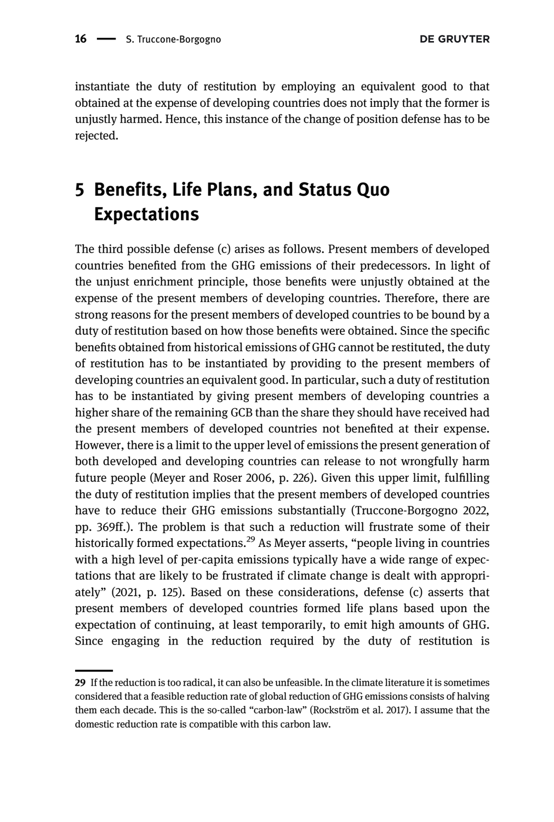instantiate the duty of restitution by employing an equivalent good to that obtained at the expense of developing countries does not imply that the former is unjustly harmed. Hence, this instance of the change of position defense has to be rejected.

# 5 Benefits, Life Plans, and Status Quo Expectations

The third possible defense (c) arises as follows. Present members of developed countries benefited from the GHG emissions of their predecessors. In light of the unjust enrichment principle, those benefits were unjustly obtained at the expense of the present members of developing countries. Therefore, there are strong reasons for the present members of developed countries to be bound by a duty of restitution based on how those benefits were obtained. Since the specific benefits obtained from historical emissions of GHG cannot be restituted, the duty of restitution has to be instantiated by providing to the present members of developing countries an equivalent good. In particular, such a duty of restitution has to be instantiated by giving present members of developing countries a higher share of the remaining GCB than the share they should have received had the present members of developed countries not benefited at their expense. However, there is a limit to the upper level of emissions the present generation of both developed and developing countries can release to not wrongfully harm future people ([Meyer and Roser 2006](#page-21-18), p. 226). Given this upper limit, fulfilling the duty of restitution implies that the present members of developed countries have to reduce their GHG emissions substantially ([Truccone-Borgogno 2022,](#page-21-19) pp. 369ff.). The problem is that such a reduction will frustrate some of their historically formed expectations.<sup>29</sup> As Meyer asserts, "people living in countries with a high level of per-capita emissions typically have a wide range of expectations that are likely to be frustrated if climate change is dealt with appropriately" ([2021](#page-21-1), p. 125). Based on these considerations, defense (c) asserts that present members of developed countries formed life plans based upon the expectation of continuing, at least temporarily, to emit high amounts of GHG. Since engaging in the reduction required by the duty of restitution is

<sup>29</sup> If the reduction is too radical, it can also be unfeasible. In the climate literature it is sometimes considered that a feasible reduction rate of global reduction of GHG emissions consists of halving them each decade. This is the so-called "carbon-law" [\(Rockström et al. 2017](#page-21-20)). I assume that the domestic reduction rate is compatible with this carbon law.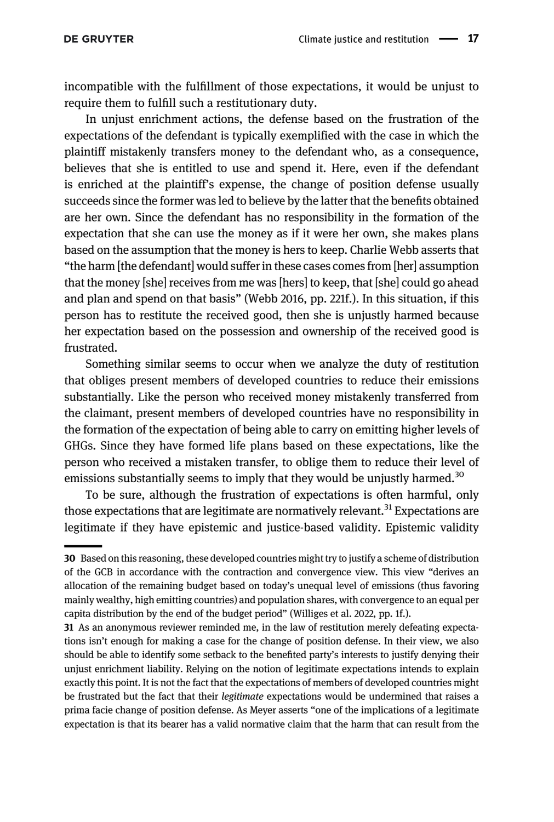incompatible with the fulfillment of those expectations, it would be unjust to require them to fulfill such a restitutionary duty.

In unjust enrichment actions, the defense based on the frustration of the expectations of the defendant is typically exemplified with the case in which the plaintiff mistakenly transfers money to the defendant who, as a consequence, believes that she is entitled to use and spend it. Here, even if the defendant is enriched at the plaintiff's expense, the change of position defense usually succeeds since the former was led to believe by the latter that the benefits obtained are her own. Since the defendant has no responsibility in the formation of the expectation that she can use the money as if it were her own, she makes plans based on the assumption that the money is hers to keep. Charlie Webb asserts that "the harm [the defendant] would suffer in these cases comes from [her] assumption that the money [she] receives from me was [hers] to keep, that [she] could go ahead and plan and spend on that basis" ([Webb 2016,](#page-21-11) pp. 221f.). In this situation, if this person has to restitute the received good, then she is unjustly harmed because her expectation based on the possession and ownership of the received good is frustrated.

Something similar seems to occur when we analyze the duty of restitution that obliges present members of developed countries to reduce their emissions substantially. Like the person who received money mistakenly transferred from the claimant, present members of developed countries have no responsibility in the formation of the expectation of being able to carry on emitting higher levels of GHGs. Since they have formed life plans based on these expectations, like the person who received a mistaken transfer, to oblige them to reduce their level of emissions substantially seems to imply that they would be unjustly harmed.<sup>30</sup>

To be sure, although the frustration of expectations is often harmful, only those expectations that are legitimate are normatively relevant.<sup>31</sup> Expectations are legitimate if they have epistemic and justice-based validity. Epistemic validity

<sup>30</sup> Based on this reasoning, these developed countries might try to justify a scheme of distribution of the GCB in accordance with the contraction and convergence view. This view "derives an allocation of the remaining budget based on today's unequal level of emissions (thus favoring mainly wealthy, high emitting countries) and population shares, with convergence to an equal per capita distribution by the end of the budget period" [\(Williges et al. 2022](#page-21-17), pp. 1f.).

<sup>31</sup> As an anonymous reviewer reminded me, in the law of restitution merely defeating expectations isn't enough for making a case for the change of position defense. In their view, we also should be able to identify some setback to the benefited party's interests to justify denying their unjust enrichment liability. Relying on the notion of legitimate expectations intends to explain exactly this point. It is not the fact that the expectations of members of developed countries might be frustrated but the fact that their *legitimate* expectations would be undermined that raises a prima facie change of position defense. As Meyer asserts "one of the implications of a legitimate expectation is that its bearer has a valid normative claim that the harm that can result from the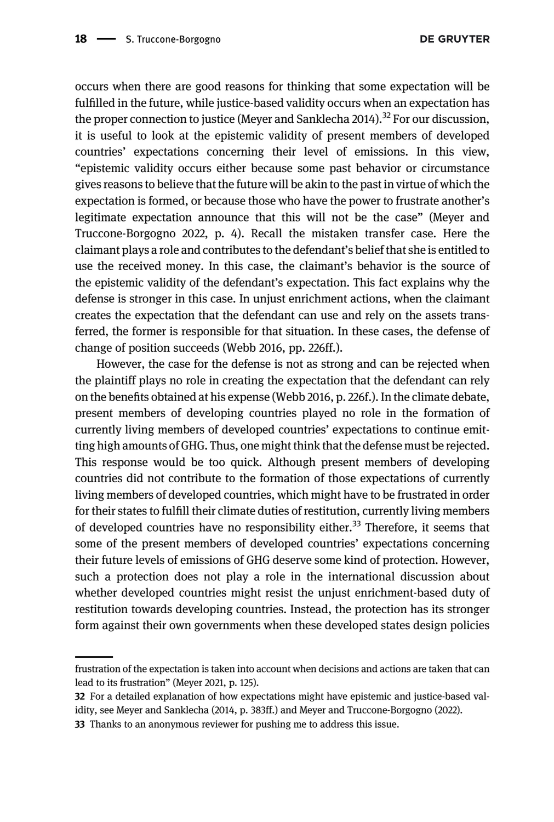occurs when there are good reasons for thinking that some expectation will be fulfilled in the future, while justice-based validity occurs when an expectation has the proper connection to justice [\(Meyer and Sanklecha 2014\)](#page-21-21).<sup>32</sup> For our discussion, it is useful to look at the epistemic validity of present members of developed countries' expectations concerning their level of emissions. In this view, "epistemic validity occurs either because some past behavior or circumstance gives reasons to believe that the future will be akin to the past in virtue of which the expectation is formed, or because those who have the power to frustrate another's legitimate expectation announce that this will not be the case" [\(Meyer and](#page-21-22) [Truccone-Borgogno 2022](#page-21-22), p. 4). Recall the mistaken transfer case. Here the claimant plays a role and contributes to the defendant's belief that she is entitled to use the received money. In this case, the claimant's behavior is the source of the epistemic validity of the defendant's expectation. This fact explains why the defense is stronger in this case. In unjust enrichment actions, when the claimant creates the expectation that the defendant can use and rely on the assets transferred, the former is responsible for that situation. In these cases, the defense of change of position succeeds ([Webb 2016,](#page-21-11) pp. 226ff.).

However, the case for the defense is not as strong and can be rejected when the plaintiff plays no role in creating the expectation that the defendant can rely on the benefits obtained at his expense ([Webb 2016](#page-21-11), p. 226f.). In the climate debate, present members of developing countries played no role in the formation of currently living members of developed countries' expectations to continue emitting high amounts of GHG. Thus, one might think that the defense must be rejected. This response would be too quick. Although present members of developing countries did not contribute to the formation of those expectations of currently living members of developed countries, which might have to be frustrated in order for their states to fulfill their climate duties of restitution, currently living members of developed countries have no responsibility either.<sup>33</sup> Therefore, it seems that some of the present members of developed countries' expectations concerning their future levels of emissions of GHG deserve some kind of protection. However, such a protection does not play a role in the international discussion about whether developed countries might resist the unjust enrichment-based duty of restitution towards developing countries. Instead, the protection has its stronger form against their own governments when these developed states design policies

frustration of the expectation is taken into account when decisions and actions are taken that can lead to its frustration" ([Meyer 2021](#page-21-1), p. 125).

<sup>32</sup> For a detailed explanation of how expectations might have epistemic and justice-based validity, see [Meyer and Sanklecha \(2014,](#page-21-21) p. 383ff.) and [Meyer and Truccone-Borgogno \(2022\).](#page-21-22)

<sup>33</sup> Thanks to an anonymous reviewer for pushing me to address this issue.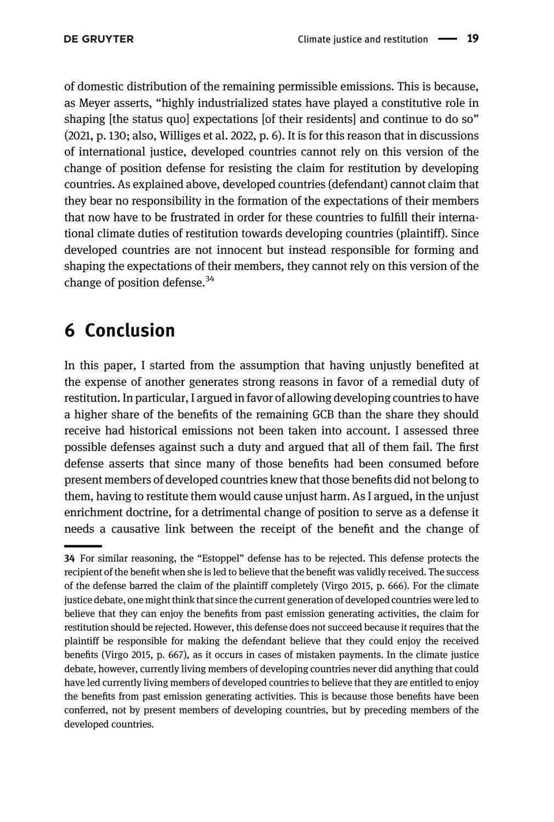of domestic distribution of the remaining permissible emissions. This is because, as Meyer asserts, "highly industrialized states have played a constitutive role in shaping [the status quo] expectations [of their residents] and continue to do so" [\(2021,](#page-21-1) p. 130; also, [Williges et al. 2022,](#page-21-17) p. 6). It is for this reason that in discussions of international justice, developed countries cannot rely on this version of the change of position defense for resisting the claim for restitution by developing countries. As explained above, developed countries (defendant) cannot claim that they bear no responsibility in the formation of the expectations of their members that now have to be frustrated in order for these countries to fulfill their international climate duties of restitution towards developing countries (plaintiff). Since developed countries are not innocent but instead responsible for forming and shaping the expectations of their members, they cannot rely on this version of the change of position defense. $34$ 

# 6 Conclusion

In this paper, I started from the assumption that having unjustly benefited at the expense of another generates strong reasons in favor of a remedial duty of restitution. In particular, I argued in favor of allowing developing countries to have a higher share of the benefits of the remaining GCB than the share they should receive had historical emissions not been taken into account. I assessed three possible defenses against such a duty and argued that all of them fail. The first defense asserts that since many of those benefits had been consumed before present members of developed countries knew that those benefits did not belong to them, having to restitute them would cause unjust harm. As I argued, in the unjust enrichment doctrine, for a detrimental change of position to serve as a defense it needs a causative link between the receipt of the benefit and the change of

<sup>34</sup> For similar reasoning, the "Estoppel" defense has to be rejected. This defense protects the recipient of the benefit when she is led to believe that the benefit was validly received. The success of the defense barred the claim of the plaintiff completely ([Virgo 2015,](#page-21-7) p. 666). For the climate justice debate, one might think that since the current generation of developed countries were led to believe that they can enjoy the benefits from past emission generating activities, the claim for restitution should be rejected. However, this defense does not succeed because it requires that the plaintiff be responsible for making the defendant believe that they could enjoy the received benefits [\(Virgo 2015](#page-21-7), p. 667), as it occurs in cases of mistaken payments. In the climate justice debate, however, currently living members of developing countries never did anything that could have led currently living members of developed countries to believe that they are entitled to enjoy the benefits from past emission generating activities. This is because those benefits have been conferred, not by present members of developing countries, but by preceding members of the developed countries.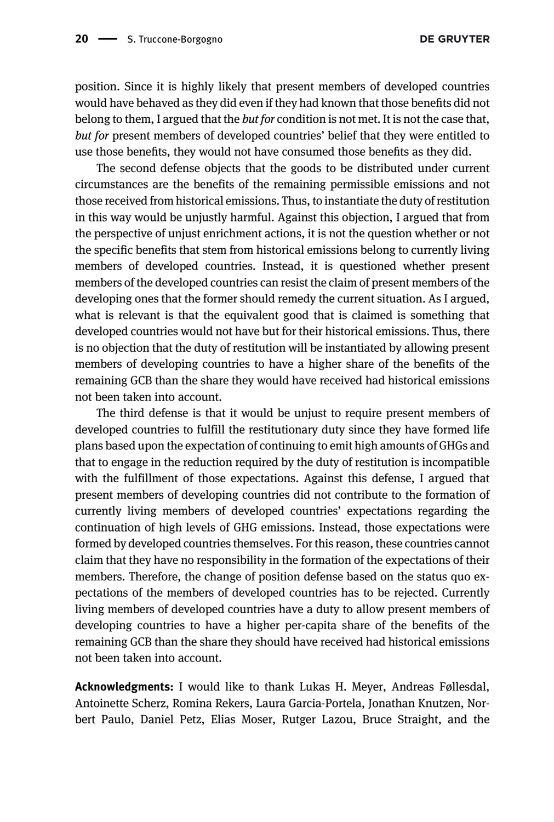position. Since it is highly likely that present members of developed countries would have behaved as they did even if they had known that those benefits did not belong to them, I argued that the *but for* condition is not met. It is not the case that, but for present members of developed countries' belief that they were entitled to use those benefits, they would not have consumed those benefits as they did.

The second defense objects that the goods to be distributed under current circumstances are the benefits of the remaining permissible emissions and not those received from historical emissions. Thus, to instantiate the duty of restitution in this way would be unjustly harmful. Against this objection, I argued that from the perspective of unjust enrichment actions, it is not the question whether or not the specific benefits that stem from historical emissions belong to currently living members of developed countries. Instead, it is questioned whether present members of the developed countries can resist the claim of present members of the developing ones that the former should remedy the current situation. As I argued, what is relevant is that the equivalent good that is claimed is something that developed countries would not have but for their historical emissions. Thus, there is no objection that the duty of restitution will be instantiated by allowing present members of developing countries to have a higher share of the benefits of the remaining GCB than the share they would have received had historical emissions not been taken into account.

The third defense is that it would be unjust to require present members of developed countries to fulfill the restitutionary duty since they have formed life plans based upon the expectation of continuing to emit high amounts of GHGs and that to engage in the reduction required by the duty of restitution is incompatible with the fulfillment of those expectations. Against this defense, I argued that present members of developing countries did not contribute to the formation of currently living members of developed countries' expectations regarding the continuation of high levels of GHG emissions. Instead, those expectations were formed by developed countries themselves. For this reason, these countries cannot claim that they have no responsibility in the formation of the expectations of their members. Therefore, the change of position defense based on the status quo expectations of the members of developed countries has to be rejected. Currently living members of developed countries have a duty to allow present members of developing countries to have a higher per-capita share of the benefits of the remaining GCB than the share they should have received had historical emissions not been taken into account.

Acknowledgments: I would like to thank Lukas H. Meyer, Andreas Føllesdal, Antoinette Scherz, Romina Rekers, Laura Garcia-Portela, Jonathan Knutzen, Norbert Paulo, Daniel Petz, Elias Moser, Rutger Lazou, Bruce Straight, and the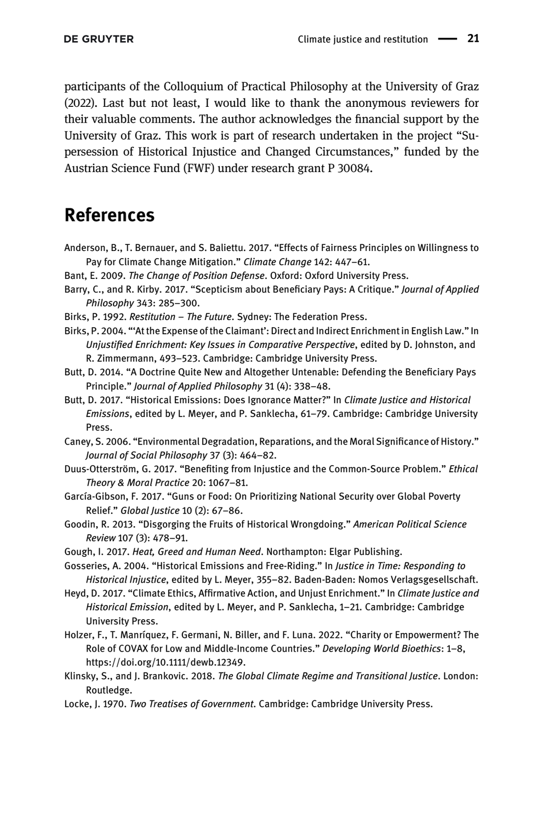participants of the Colloquium of Practical Philosophy at the University of Graz (2022). Last but not least, I would like to thank the anonymous reviewers for their valuable comments. The author acknowledges the financial support by the University of Graz. This work is part of research undertaken in the project "Supersession of Historical Injustice and Changed Circumstances," funded by the Austrian Science Fund (FWF) under research grant P 30084.

#### References

- <span id="page-20-9"></span>Anderson, B., T. Bernauer, and S. Baliettu. 2017. "Effects of Fairness Principles on Willingness to Pay for Climate Change Mitigation." Climate Change 142: 447–61.
- <span id="page-20-10"></span>Bant, E. 2009. The Change of Position Defense. Oxford: Oxford University Press.
- <span id="page-20-3"></span>Barry, C., and R. Kirby. 2017. "Scepticism about Beneficiary Pays: A Critique." Journal of Applied Philosophy 343: 285–300.
- <span id="page-20-7"></span>Birks, P. 1992. Restitution – The Future. Sydney: The Federation Press.
- <span id="page-20-11"></span>Birks, P. 2004. "'At the Expense of the Claimant': Direct and Indirect Enrichment in English Law." In Unjustified Enrichment: Key Issues in Comparative Perspective, edited by D. Johnston, and R. Zimmermann, 493–523. Cambridge: Cambridge University Press.
- <span id="page-20-6"></span>Butt, D. 2014. "A Doctrine Quite New and Altogether Untenable: Defending the Beneficiary Pays Principle." Journal of Applied Philosophy 31 (4): 338–48.
- <span id="page-20-12"></span>Butt, D. 2017. "Historical Emissions: Does Ignorance Matter?" In Climate Justice and Historical Emissions, edited by L. Meyer, and P. Sanklecha, 61–79. Cambridge: Cambridge University Press.
- <span id="page-20-1"></span>Caney, S. 2006. "Environmental Degradation, Reparations, and the Moral Significance of History." Journal of Social Philosophy 37 (3): 464–82.
- <span id="page-20-4"></span>Duus-Otterström, G. 2017. "Benefiting from Injustice and the Common-Source Problem." Ethical Theory & Moral Practice 20: 1067–81.
- <span id="page-20-13"></span>García-Gibson, F. 2017. "Guns or Food: On Prioritizing National Security over Global Poverty Relief." Global Justice 10 (2): 67–86.
- <span id="page-20-15"></span>Goodin, R. 2013. "Disgorging the Fruits of Historical Wrongdoing." American Political Science Review 107 (3): 478–91.
- <span id="page-20-0"></span>Gough, I. 2017. Heat, Greed and Human Need. Northampton: Elgar Publishing.
- <span id="page-20-2"></span>Gosseries, A. 2004. "Historical Emissions and Free-Riding." In Justice in Time: Responding to Historical Injustice, edited by L. Meyer, 355–82. Baden-Baden: Nomos Verlagsgesellschaft.
- <span id="page-20-5"></span>Heyd, D. 2017. "Climate Ethics, Affirmative Action, and Unjust Enrichment." In Climate Justice and Historical Emission, edited by L. Meyer, and P. Sanklecha, 1–21. Cambridge: Cambridge University Press.
- <span id="page-20-14"></span>Holzer, F., T. Manríquez, F. Germani, N. Biller, and F. Luna. 2022. "Charity or Empowerment? The Role of COVAX for Low and Middle-Income Countries." Developing World Bioethics: 1–8, [https://doi.org/10.1111/dewb.12349.](https://doi.org/10.1111/dewb.12349)
- <span id="page-20-8"></span>Klinsky, S., and J. Brankovic. 2018. The Global Climate Regime and Transitional Justice. London: Routledge.
- <span id="page-20-16"></span>Locke, J. 1970. Two Treatises of Government. Cambridge: Cambridge University Press.